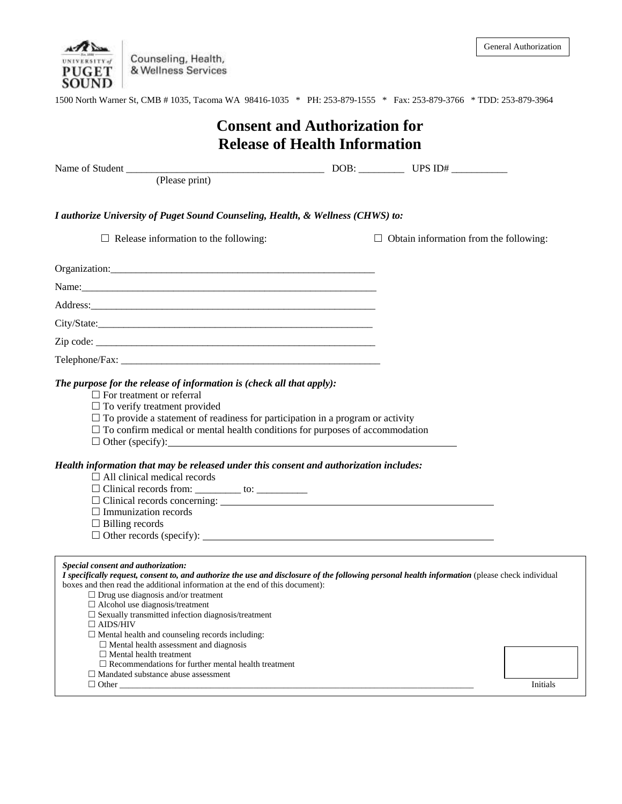

Counseling, Health,<br>& Wellness Services

| 1500 North Warner St, CMB #1035, Tacoma WA 98416-1035 * PH: 253-879-1555 * Fax: 253-879-3766 * TDD: 253-879-3964                                                                                                                                                                                                                                                                                                                                                                                                                                                                                                                                           |                                      |                                               |  |  |
|------------------------------------------------------------------------------------------------------------------------------------------------------------------------------------------------------------------------------------------------------------------------------------------------------------------------------------------------------------------------------------------------------------------------------------------------------------------------------------------------------------------------------------------------------------------------------------------------------------------------------------------------------------|--------------------------------------|-----------------------------------------------|--|--|
| <b>Consent and Authorization for</b>                                                                                                                                                                                                                                                                                                                                                                                                                                                                                                                                                                                                                       |                                      |                                               |  |  |
|                                                                                                                                                                                                                                                                                                                                                                                                                                                                                                                                                                                                                                                            | <b>Release of Health Information</b> |                                               |  |  |
|                                                                                                                                                                                                                                                                                                                                                                                                                                                                                                                                                                                                                                                            |                                      |                                               |  |  |
|                                                                                                                                                                                                                                                                                                                                                                                                                                                                                                                                                                                                                                                            |                                      |                                               |  |  |
| I authorize University of Puget Sound Counseling, Health, & Wellness (CHWS) to:                                                                                                                                                                                                                                                                                                                                                                                                                                                                                                                                                                            |                                      |                                               |  |  |
| $\Box$ Release information to the following:                                                                                                                                                                                                                                                                                                                                                                                                                                                                                                                                                                                                               |                                      | $\Box$ Obtain information from the following: |  |  |
|                                                                                                                                                                                                                                                                                                                                                                                                                                                                                                                                                                                                                                                            |                                      |                                               |  |  |
|                                                                                                                                                                                                                                                                                                                                                                                                                                                                                                                                                                                                                                                            |                                      |                                               |  |  |
|                                                                                                                                                                                                                                                                                                                                                                                                                                                                                                                                                                                                                                                            |                                      |                                               |  |  |
|                                                                                                                                                                                                                                                                                                                                                                                                                                                                                                                                                                                                                                                            |                                      |                                               |  |  |
|                                                                                                                                                                                                                                                                                                                                                                                                                                                                                                                                                                                                                                                            |                                      |                                               |  |  |
|                                                                                                                                                                                                                                                                                                                                                                                                                                                                                                                                                                                                                                                            |                                      |                                               |  |  |
| $\Box$ To verify treatment provided<br>$\Box$ To provide a statement of readiness for participation in a program or activity<br>$\Box$ To confirm medical or mental health conditions for purposes of accommodation<br>$\Box$ Other (specify):<br>Health information that may be released under this consent and authorization includes:<br>$\Box$ All clinical medical records<br>$\Box$ Immunization records<br>$\Box$ Billing records                                                                                                                                                                                                                   |                                      |                                               |  |  |
| Special consent and authorization:<br>I specifically request, consent to, and authorize the use and disclosure of the following personal health information (please check individual<br>boxes and then read the additional information at the end of this document):<br>$\Box$ Drug use diagnosis and/or treatment<br>$\Box$ Alcohol use diagnosis/treatment<br>$\square$ Sexually transmitted infection diagnosis/treatment<br>$\Box$ AIDS/HIV<br>$\Box$ Mental health and counseling records including:<br>$\Box$ Mental health assessment and diagnosis<br>$\Box$ Mental health treatment<br>$\Box$ Recommendations for further mental health treatment |                                      |                                               |  |  |